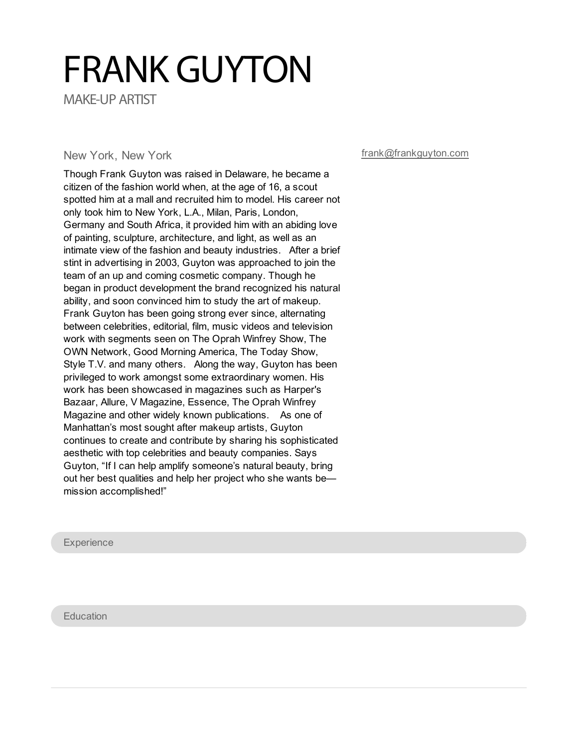## FRANK GUYTON

MAKE-UP ARTIST

## New York, New York

Though Frank Guyton was raised in Delaware, he became a citizen of the fashion world when, at the age of 16, a scout spotted him at a mall and recruited him to model. His career not only took him to New York, L.A., Milan, Paris, London, Germany and South Africa, it provided him with an abiding love of painting, sculpture, architecture, and light, as well as an intimate view of the fashion and beauty industries. After a brief stint in advertising in 2003, Guyton was approached to join the team of an up and coming cosmetic company. Though he began in product development the brand recognized his natural ability, and soon convinced him to study the art of makeup. Frank Guyton has been going strong ever since, alternating between celebrities, editorial, film, music videos and television work with segments seen on The Oprah Winfrey Show, The OWN Network, Good Morning America, The Today Show, Style T.V. and many others. Along the way, Guyton has been privileged to work amongst some extraordinary women. His work has been showcased in magazines such as Harper's Bazaar, Allure, V Magazine, Essence, The Oprah Winfrey Magazine and other widely known publications. As one of Manhattan's most sought after makeup artists, Guyton continues to create and contribute by sharing his sophisticated aesthetic with top celebrities and beauty companies. Says Guyton, "If I can help amplify someone's natural beauty, bring out her best qualities and help her project who she wants be mission accomplished!"

[frank@frankguyton.com](mailto:frank@frankguyton.com)

**Experience** 

**Education**